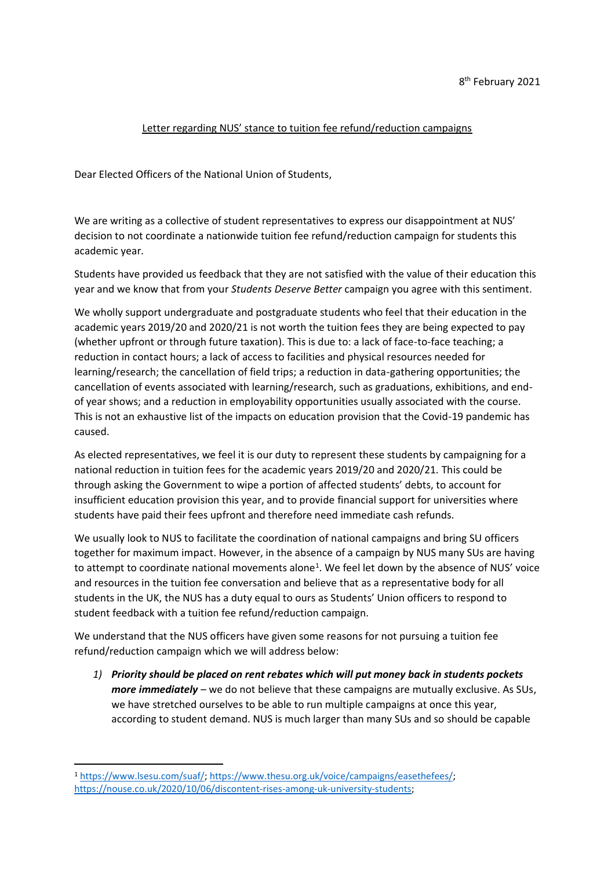## Letter regarding NUS' stance to tuition fee refund/reduction campaigns

Dear Elected Officers of the National Union of Students,

We are writing as a collective of student representatives to express our disappointment at NUS' decision to not coordinate a nationwide tuition fee refund/reduction campaign for students this academic year.

Students have provided us feedback that they are not satisfied with the value of their education this year and we know that from your *Students Deserve Better* campaign you agree with this sentiment.

We wholly support undergraduate and postgraduate students who feel that their education in the academic years 2019/20 and 2020/21 is not worth the tuition fees they are being expected to pay (whether upfront or through future taxation). This is due to: a lack of face-to-face teaching; a reduction in contact hours; a lack of access to facilities and physical resources needed for learning/research; the cancellation of field trips; a reduction in data-gathering opportunities; the cancellation of events associated with learning/research, such as graduations, exhibitions, and endof year shows; and a reduction in employability opportunities usually associated with the course. This is not an exhaustive list of the impacts on education provision that the Covid-19 pandemic has caused.

As elected representatives, we feel it is our duty to represent these students by campaigning for a national reduction in tuition fees for the academic years 2019/20 and 2020/21. This could be through asking the Government to wipe a portion of affected students' debts, to account for insufficient education provision this year, and to provide financial support for universities where students have paid their fees upfront and therefore need immediate cash refunds.

We usually look to NUS to facilitate the coordination of national campaigns and bring SU officers together for maximum impact. However, in the absence of a campaign by NUS many SUs are having to attempt to coordinate national movements alone<sup>1</sup>. We feel let down by the absence of NUS' voice and resources in the tuition fee conversation and believe that as a representative body for all students in the UK, the NUS has a duty equal to ours as Students' Union officers to respond to student feedback with a tuition fee refund/reduction campaign.

We understand that the NUS officers have given some reasons for not pursuing a tuition fee refund/reduction campaign which we will address below:

*1) Priority should be placed on rent rebates which will put money back in students pockets more immediately* – we do not believe that these campaigns are mutually exclusive. As SUs, we have stretched ourselves to be able to run multiple campaigns at once this year, according to student demand. NUS is much larger than many SUs and so should be capable

<sup>1</sup> [https://www.lsesu.com/suaf/;](https://www.lsesu.com/suaf/) [https://www.thesu.org.uk/voice/campaigns/easethefees/;](https://www.thesu.org.uk/voice/campaigns/easethefees/) [https://nouse.co.uk/2020/10/06/discontent-rises-among-uk-university-students;](https://nouse.co.uk/2020/10/06/discontent-rises-among-uk-university-students)